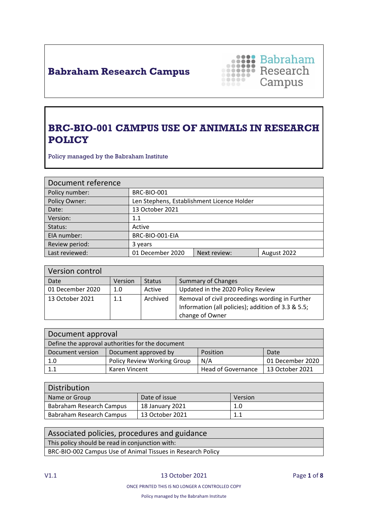## **Babraham Research Campus**



### **BRC-BIO-001 CAMPUS USE OF ANIMALS IN RESEARCH POLICY**

Policy managed by the Babraham Institute

| Document reference |                                            |              |             |
|--------------------|--------------------------------------------|--------------|-------------|
| Policy number:     | <b>BRC-BIO-001</b>                         |              |             |
| Policy Owner:      | Len Stephens, Establishment Licence Holder |              |             |
| Date:              | 13 October 2021                            |              |             |
| Version:           | $1.1\,$                                    |              |             |
| Status:            | Active                                     |              |             |
| EIA number:        | BRC-BIO-001-EIA                            |              |             |
| Review period:     | 3 years                                    |              |             |
| Last reviewed:     | 01 December 2020                           | Next review: | August 2022 |

| Version control  |         |               |                                                                                                                          |
|------------------|---------|---------------|--------------------------------------------------------------------------------------------------------------------------|
| Date             | Version | <b>Status</b> | <b>Summary of Changes</b>                                                                                                |
| 01 December 2020 | 1.0     | Active        | Updated in the 2020 Policy Review                                                                                        |
| 13 October 2021  | 1.1     | Archived      | Removal of civil proceedings wording in Further<br>Information (all policies); addition of 3.3 & 5.5;<br>change of Owner |

| Document approval                                |                                    |                           |                  |
|--------------------------------------------------|------------------------------------|---------------------------|------------------|
| Define the approval authorities for the document |                                    |                           |                  |
| Document version                                 | Document approved by               | Position                  | Date             |
| 1.0                                              | <b>Policy Review Working Group</b> | N/A                       | 01 December 2020 |
| 1.1                                              | Karen Vincent                      | <b>Head of Governance</b> | 13 October 2021  |

| <b>Distribution</b>      |                 |         |
|--------------------------|-----------------|---------|
| Name or Group            | Date of issue   | Version |
| Babraham Research Campus | 18 January 2021 | 1.0     |
| Babraham Research Campus | 13 October 2021 | 1.1     |

| Associated policies, procedures and guidance                |
|-------------------------------------------------------------|
| This policy should be read in conjunction with:             |
| BRC-BIO-002 Campus Use of Animal Tissues in Research Policy |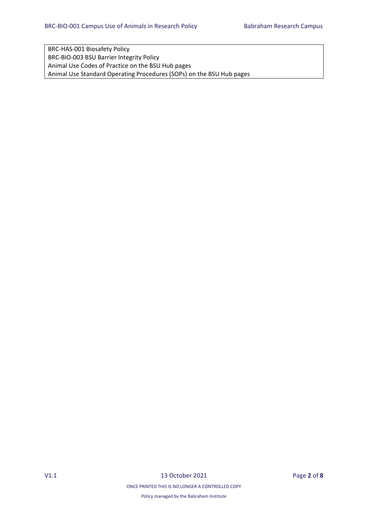BRC-HAS-001 Biosafety Policy BRC-BIO-003 BSU Barrier Integrity Policy Animal Use Codes of Practice on the BSU Hub pages Animal Use Standard Operating Procedures (SOPs) on the BSU Hub pages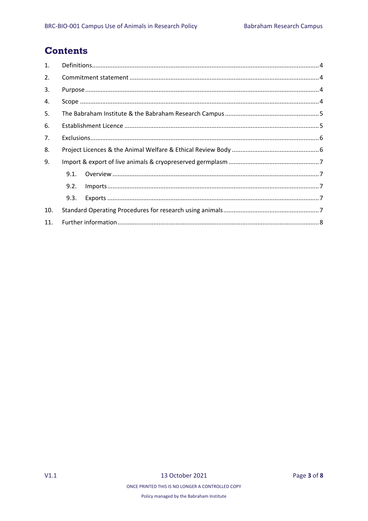### **Contents**

| $\mathbf{1}$ . |      |                                                                                                                                                                                                                                                                                                                                                                                           |
|----------------|------|-------------------------------------------------------------------------------------------------------------------------------------------------------------------------------------------------------------------------------------------------------------------------------------------------------------------------------------------------------------------------------------------|
| 2.             |      |                                                                                                                                                                                                                                                                                                                                                                                           |
| 3.             |      |                                                                                                                                                                                                                                                                                                                                                                                           |
| 4.             |      |                                                                                                                                                                                                                                                                                                                                                                                           |
| 5.             |      |                                                                                                                                                                                                                                                                                                                                                                                           |
| 6.             |      |                                                                                                                                                                                                                                                                                                                                                                                           |
| 7 <sub>1</sub> |      |                                                                                                                                                                                                                                                                                                                                                                                           |
| 8.             |      |                                                                                                                                                                                                                                                                                                                                                                                           |
| 9.             |      |                                                                                                                                                                                                                                                                                                                                                                                           |
|                | 9.1. |                                                                                                                                                                                                                                                                                                                                                                                           |
|                | 9.2. | $\small \textsf{Imports} \textup{} \textup{} \textup{} \textup{} \textup{} \textup{} \textup{} \textup{} \textup{} \textup{} \textup{} \textup{} \textup{} \textup{} \textup{} \textup{} \textup{} \textup{} \textup{} \textup{} \textup{} \textup{} \textup{} \textup{} \textup{} \textup{} \textup{} \textup{} \textup{} \textup{} \textup{} \textup{} \textup{} \textup{} \textup{} \$ |
|                | 9.3. |                                                                                                                                                                                                                                                                                                                                                                                           |
| 10.            |      |                                                                                                                                                                                                                                                                                                                                                                                           |
| 11.            |      |                                                                                                                                                                                                                                                                                                                                                                                           |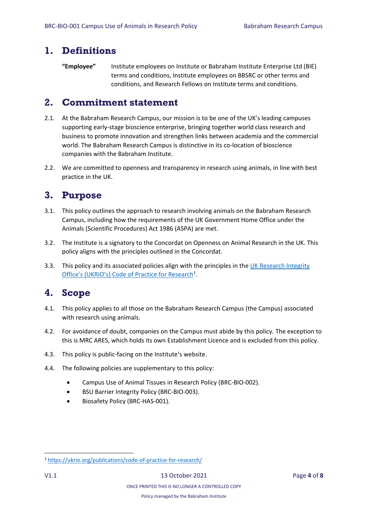#### <span id="page-3-0"></span>**1. Definitions**

**"Employee"** Institute employees on Institute or Babraham Institute Enterprise Ltd (BIE) terms and conditions, Institute employees on BBSRC or other terms and conditions, and Research Fellows on Institute terms and conditions.

### <span id="page-3-1"></span>**2. Commitment statement**

- 2.1. At the Babraham Research Campus, our mission is to be one of the UK's leading campuses supporting early-stage bioscience enterprise, bringing together world class research and business to promote innovation and strengthen links between academia and the commercial world. The Babraham Research Campus is distinctive in its co-location of bioscience companies with the Babraham Institute.
- 2.2. We are committed to openness and transparency in research using animals, in line with best practice in the UK.

### <span id="page-3-2"></span>**3. Purpose**

- 3.1. This policy outlines the approach to research involving animals on the Babraham Research Campus, including how the requirements of the UK Government Home Office under the Animals (Scientific Procedures) Act 1986 (ASPA) are met.
- 3.2. The Institute is a signatory to the [Concordat on Openness on Animal Research in the UK.](http://concordatopenness.org.uk/) This policy aligns with the principles outlined in the Concordat.
- 3.3. This policy and its associated policies align with the principles in the [UK Research Integrity](https://ukrio.org/publications/code-of-practice-for-research/)  [Office's \(UKRIO's\) Code of Practice for Research](https://ukrio.org/publications/code-of-practice-for-research/)<sup>1</sup>.

### <span id="page-3-3"></span>**4. Scope**

- 4.1. This policy applies to all those on the Babraham Research Campus (the Campus) associated with research using animals.
- 4.2. For avoidance of doubt, companies on the Campus must abide by this policy. The exception to this is MRC ARES, which holds its own Establishment Licence and is excluded from this policy.
- 4.3. This policy is public-facing on the Institute's website.
- 4.4. The following policies are supplementary to this policy:
	- Campus Use of Animal Tissues in Research Policy (BRC-BIO-002).
	- BSU Barrier Integrity Policy (BRC-BIO-003).
	- Biosafety Policy (BRC-HAS-001).

**.** 

<sup>1</sup> <https://ukrio.org/publications/code-of-practice-for-research/>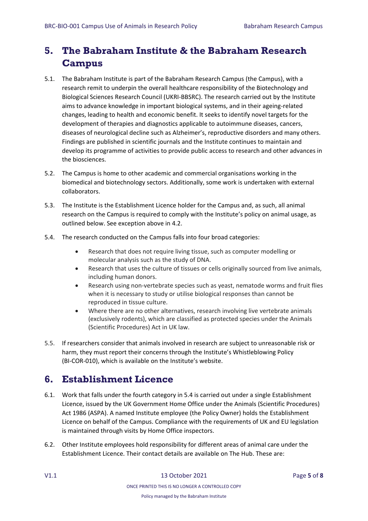# <span id="page-4-0"></span>**5. The Babraham Institute & the Babraham Research Campus**

- 5.1. The Babraham Institute is part of the Babraham Research Campus (the Campus), with a research remit to underpin the overall healthcare responsibility of the Biotechnology and Biological Sciences Research Council (UKRI-BBSRC). The research carried out by the Institute aims to advance knowledge in important biological systems, and in their ageing-related changes, leading to health and economic benefit. It seeks to identify novel targets for the development of therapies and diagnostics applicable to autoimmune diseases, cancers, diseases of neurological decline such as Alzheimer's, reproductive disorders and many others. Findings are published in scientific journals and the Institute continues to maintain and develop its programme of activities to provide public access to research and other advances in the biosciences.
- 5.2. The Campus is home to other academic and commercial organisations working in the biomedical and biotechnology sectors. Additionally, some work is undertaken with external collaborators.
- 5.3. The Institute is the Establishment Licence holder for the Campus and, as such, all animal research on the Campus is required to comply with the Institute's policy on animal usage, as outlined below. See exception above in 4.2.
- 5.4. The research conducted on the Campus falls into four broad categories:
	- Research that does not require living tissue, such as computer modelling or molecular analysis such as the study of DNA.
	- Research that uses the culture of tissues or cells originally sourced from live animals, including human donors.
	- Research using non-vertebrate species such as yeast, nematode worms and fruit flies when it is necessary to study or utilise biological responses than cannot be reproduced in tissue culture.
	- Where there are no other alternatives, research involving live vertebrate animals (exclusively rodents), which are classified as protected species under the Animals (Scientific Procedures) Act in UK law.
- 5.5. If researchers consider that animals involved in research are subject to unreasonable risk or harm, they must report their concerns through the Institute's Whistleblowing Policy (BI-COR-010), which is available on the Institute's website.

### <span id="page-4-1"></span>**6. Establishment Licence**

- 6.1. Work that falls under the fourth category in 5.4 is carried out under a single Establishment Licence, issued by the UK Government Home Office under the Animals (Scientific Procedures) Act 1986 (ASPA). A named Institute employee (the Policy Owner) holds the Establishment Licence on behalf of the Campus. Compliance with the requirements of UK and EU legislation is maintained through visits by Home Office inspectors.
- 6.2. Other Institute employees hold responsibility for different areas of animal care under the Establishment Licence. Their contact details are available on The Hub. These are: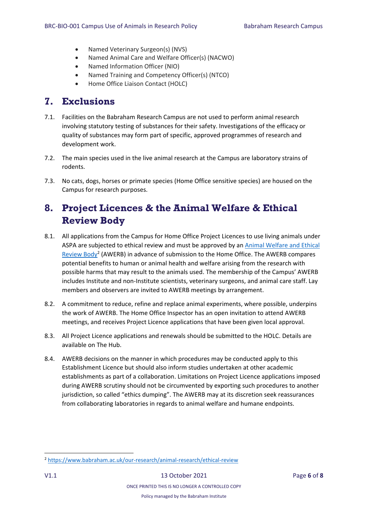- Named Veterinary Surgeon(s) (NVS)
- Named Animal Care and Welfare Officer(s) (NACWO)
- Named Information Officer (NIO)
- Named Training and Competency Officer(s) (NTCO)
- Home Office Liaison Contact (HOLC)

#### <span id="page-5-0"></span>**7. Exclusions**

- 7.1. Facilities on the Babraham Research Campus are not used to perform animal research involving statutory testing of substances for their safety. Investigations of the efficacy or quality of substances may form part of specific, approved programmes of research and development work.
- 7.2. The main species used in the live animal research at the Campus are laboratory strains of rodents.
- 7.3. No cats, dogs, horses or primate species (Home Office sensitive species) are housed on the Campus for research purposes.

### <span id="page-5-1"></span>**8. Project Licences & the [Animal Welfare &](https://www.babraham.ac.uk/our-research/animal-research/ethical-review) Ethical [Review Body](https://www.babraham.ac.uk/our-research/animal-research/ethical-review)**

- 8.1. All applications from the Campus for Home Office Project Licences to use living animals under ASPA are subjected to ethical review and must be approved by an [Animal Welfare and Ethical](https://www.babraham.ac.uk/our-research/animal-research/ethical-review)  [Review Body](https://www.babraham.ac.uk/our-research/animal-research/ethical-review)<sup>2</sup> (AWERB) in advance of submission to the Home Office. The AWERB compares potential benefits to human or animal health and welfare arising from the research with possible harms that may result to the animals used. The membership of the Campus' AWERB includes Institute and non-Institute scientists, veterinary surgeons, and animal care staff. Lay members and observers are invited to AWERB meetings by arrangement.
- 8.2. A commitment to reduce, refine and replace animal experiments, where possible, underpins the work of AWERB. The Home Office Inspector has an open invitation to attend AWERB meetings, and receives Project Licence applications that have been given local approval.
- 8.3. All Project Licence applications and renewals should be submitted to the HOLC. Details are available on The Hub.
- 8.4. AWERB decisions on the manner in which procedures may be conducted apply to this Establishment Licence but should also inform studies undertaken at other academic establishments as part of a collaboration. Limitations on Project Licence applications imposed during AWERB scrutiny should not be circumvented by exporting such procedures to another jurisdiction, so called "ethics dumping". The AWERB may at its discretion seek reassurances from collaborating laboratories in regards to animal welfare and humane endpoints.

ONCE PRINTED THIS IS NO LONGER A CONTROLLED COPY

**.** 

<sup>2</sup> <https://www.babraham.ac.uk/our-research/animal-research/ethical-review>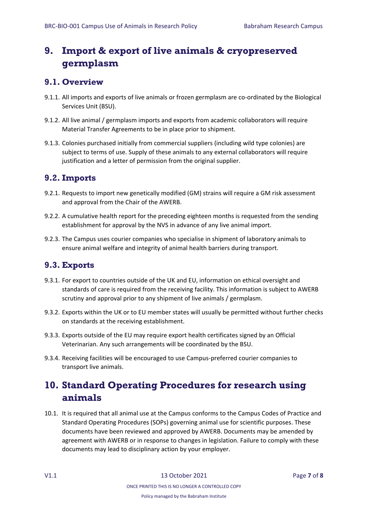# <span id="page-6-0"></span>**9. Import & export of live animals & cryopreserved germplasm**

#### <span id="page-6-1"></span>**9.1. Overview**

- 9.1.1. All imports and exports of live animals or frozen germplasm are co-ordinated by the Biological Services Unit (BSU).
- 9.1.2. All live animal / germplasm imports and exports from academic collaborators will require Material Transfer Agreements to be in place prior to shipment.
- 9.1.3. Colonies purchased initially from commercial suppliers (including wild type colonies) are subject to terms of use. Supply of these animals to any external collaborators will require justification and a letter of permission from the original supplier.

#### <span id="page-6-2"></span>**9.2. Imports**

- 9.2.1. Requests to import new genetically modified (GM) strains will require a GM risk assessment and approval from the Chair of the AWERB.
- 9.2.2. A cumulative health report for the preceding eighteen months is requested from the sending establishment for approval by the NVS in advance of any live animal import.
- 9.2.3. The Campus uses courier companies who specialise in shipment of laboratory animals to ensure animal welfare and integrity of animal health barriers during transport.

#### <span id="page-6-3"></span>**9.3. Exports**

- 9.3.1. For export to countries outside of the UK and EU, information on ethical oversight and standards of care is required from the receiving facility. This information is subject to AWERB scrutiny and approval prior to any shipment of live animals / germplasm.
- 9.3.2. Exports within the UK or to EU member states will usually be permitted without further checks on standards at the receiving establishment.
- 9.3.3. Exports outside of the EU may require export health certificates signed by an Official Veterinarian. Any such arrangements will be coordinated by the BSU.
- 9.3.4. Receiving facilities will be encouraged to use Campus-preferred courier companies to transport live animals.

# <span id="page-6-4"></span>**10. Standard Operating Procedures for research using animals**

10.1. It is required that all animal use at the Campus conforms to the Campus Codes of Practice and Standard Operating Procedures (SOPs) governing animal use for scientific purposes. These documents have been reviewed and approved by AWERB. Documents may be amended by agreement with AWERB or in response to changes in legislation. Failure to comply with these documents may lead to disciplinary action by your employer.